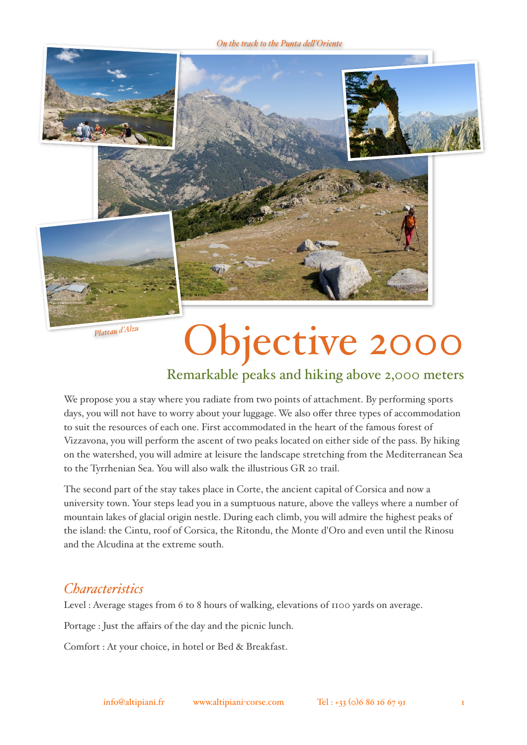

*Plateau d'Alzu*

# Objective 2000

# Remarkable peaks and hiking above 2,000 meters

We propose you a stay where you radiate from two points of attachment. By performing sports days, you will not have to worry about your luggage. We also offer three types of accommodation to suit the resources of each one. First accommodated in the heart of the famous forest of Vizzavona, you will perform the ascent of two peaks located on either side of the pass. By hiking on the watershed, you will admire at leisure the landscape stretching from the Mediterranean Sea to the Tyrrhenian Sea. You will also walk the illustrious GR 20 trail.

The second part of the stay takes place in Corte, the ancient capital of Corsica and now a university town. Your steps lead you in a sumptuous nature, above the valleys where a number of mountain lakes of glacial origin nestle. During each climb, you will admire the highest peaks of the island: the Cintu, roof of Corsica, the Ritondu, the Monte d'Oro and even until the Rinosu and the Alcudina at the extreme south.

# *Characteristics*

Level : Average stages from 6 to 8 hours of walking, elevations of 1100 yards on average.

Portage : Just the affairs of the day and the picnic lunch.

Comfort : At your choice, in hotel or Bed & Breakfast.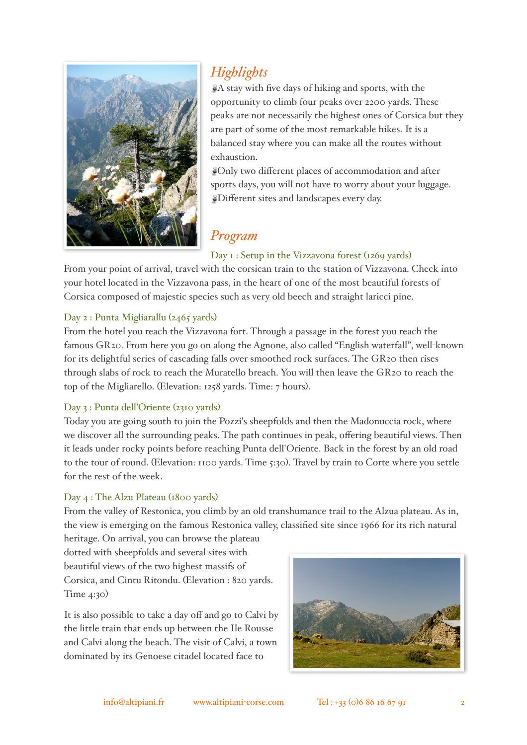

# *Highlights*

A stay with five days of hiking and sports, with the opportunity to climb four peaks over 2200 yards. These peaks are not necessarily the highest ones of Corsica but they are part of some of the most remarkable hikes. It is a balanced stay where you can make all the routes without exhaustion.

Only two different places of accommodation and after sports days, you will not have to worry about your luggage. Different sites and landscapes every day.

# *Program*

# Day 1 : Setup in the Vizzavona forest (1269 yards)

From your point of arrival, travel with the corsican train to the station of Vizzavona. Check into your hotel located in the Vizzavona pass, in the heart of one of the most beautiful forests of Corsica composed of majestic species such as very old beech and straight laricci pine.

## Day 2 : Punta Migliarallu (2465 yards)

From the hotel you reach the Vizzavona fort. Through a passage in the forest you reach the famous GR20. From here you go on along the Agnone, also called "English waterfall", well-known for its delightful series of cascading falls over smoothed rock surfaces. The GR20 then rises through slabs of rock to reach the Muratello breach. You will then leave the GR20 to reach the top of the Migliarello. (Elevation: 1258 yards. Time: 7 hours).

## Day 3 : Punta dell'Oriente (2310 yards)

Today you are going south to join the Pozzi's sheepfolds and then the Madonuccia rock, where we discover all the surrounding peaks. The path continues in peak, offering beautiful views. Then it leads under rocky points before reaching Punta dell'Oriente. Back in the forest by an old road to the tour of round. (Elevation: 1100 yards. Time 5:30). Travel by train to Corte where you settle for the rest of the week.

## Day 4 : The Alzu Plateau (1800 yards)

From the valley of Restonica, you climb by an old transhumance trail to the Alzua plateau. As in, the view is emerging on the famous Restonica valley, classified site since 1966 for its rich natural

heritage. On arrival, you can browse the plateau dotted with sheepfolds and several sites with beautiful views of the two highest massifs of Corsica, and Cintu Ritondu. (Elevation : 820 yards. Time 4:30)

It is also possible to take a day off and go to Calvi by the little train that ends up between the Ile Rousse and Calvi along the beach. The visit of Calvi, a town dominated by its Genoese citadel located face to

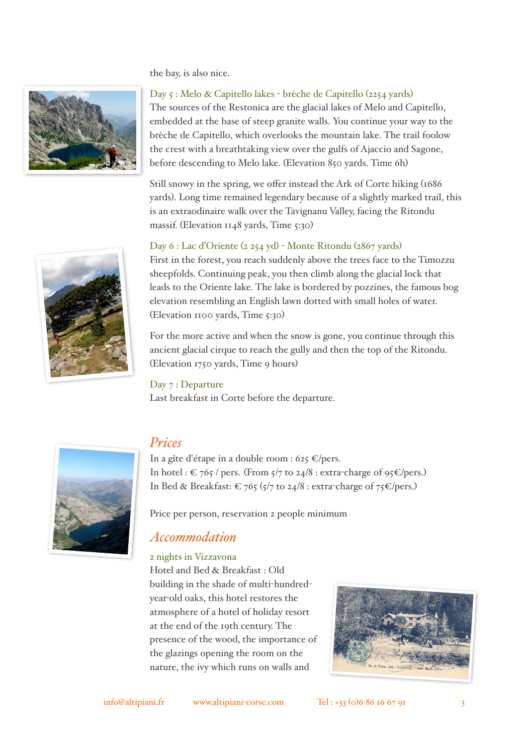the bay, is also nice.



Day 5 : Melo & Capitello lakes - brèche de Capitello (2254 yards) The sources of the Restonica are the glacial lakes of Melo and Capitello, embedded at the base of steep granite walls. You continue your way to the brèche de Capitello, which overlooks the mountain lake. The trail foolow the crest with a breathtaking view over the gulfs of Ajaccio and Sagone, before descending to Melo lake. (Elevation 850 yards. Time 6h)

Still snowy in the spring, we offer instead the Ark of Corte hiking (1686 yards). Long time remained legendary because of a slightly marked trail, this is an extraodinaire walk over the Tavignanu Valley, facing the Ritondu massif. (Elevation 1148 yards, Time 5:30)

#### Day 6 : Lac d'Oriente (2 254 yd) - Monte Ritondu (2867 yards)

First in the forest, you reach suddenly above the trees face to the Timozzu sheepfolds. Continuing peak, you then climb along the glacial lock that leads to the Oriente lake. The lake is bordered by pozzines, the famous bog elevation resembling an English lawn dotted with small holes of water. (Elevation 1100 yards, Time 5:30)

For the more active and when the snow is gone, you continue through this ancient glacial cirque to reach the gully and then the top of the Ritondu. (Elevation 1750 yards, Time 9 hours)

#### Day 7 : Departure

Last breakfast in Corte before the departure.



# *Prices*

In a gîte d'étape in a double room : 625  $\epsilon$ /pers. In hotel :  $\epsilon$  765 / pers. (From 5/7 to 24/8 : extra-charge of 95 $\epsilon$ /pers.) In Bed & Breakfast:  $\epsilon$  765 (5/7 to 24/8 : extra-charge of 75  $\epsilon$ /pers.)

Price per person, reservation 2 people minimum

# *Accommodation*

#### 2 nights in Vizzavona

Hotel and Bed & Breakfast : Old building in the shade of multi-hundredyear-old oaks, this hotel restores the atmosphere of a hotel of holiday resort at the end of the 19th century. The presence of the wood, the importance of the glazings opening the room on the nature, the ivy which runs on walls and